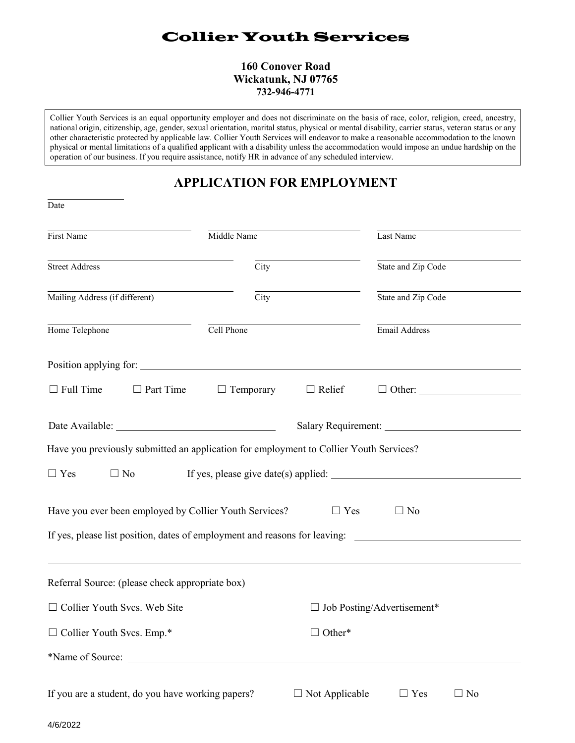# Collier Youth Services

#### **160 Conover Road Wickatunk, NJ 07765 732-946-4771**

Collier Youth Services is an equal opportunity employer and does not discriminate on the basis of race, color, religion, creed, ancestry, national origin, citizenship, age, gender, sexual orientation, marital status, physical or mental disability, carrier status, veteran status or any other characteristic protected by applicable law. Collier Youth Services will endeavor to make a reasonable accommodation to the known physical or mental limitations of a qualified applicant with a disability unless the accommodation would impose an undue hardship on the operation of our business. If you require assistance, notify HR in advance of any scheduled interview.

## **APPLICATION FOR EMPLOYMENT**

| Date                                                                                                 |             |                                   |                                                      |  |
|------------------------------------------------------------------------------------------------------|-------------|-----------------------------------|------------------------------------------------------|--|
| First Name                                                                                           | Middle Name |                                   | Last Name                                            |  |
| <b>Street Address</b>                                                                                | City        |                                   | State and Zip Code                                   |  |
| Mailing Address (if different)                                                                       | City        |                                   | State and Zip Code                                   |  |
| Home Telephone                                                                                       | Cell Phone  |                                   | Email Address                                        |  |
|                                                                                                      |             |                                   |                                                      |  |
| $\Box$ Full Time $\Box$ Part Time $\Box$ Temporary $\Box$ Relief                                     |             |                                   | $\Box$ Other:                                        |  |
|                                                                                                      |             |                                   |                                                      |  |
| Have you previously submitted an application for employment to Collier Youth Services?               |             |                                   |                                                      |  |
| $\Box$ No<br>$\Box$ Yes                                                                              |             |                                   | If yes, please give date(s) applied: $\qquad \qquad$ |  |
| Have you ever been employed by Collier Youth Services?                                               |             | $\Box$ Yes                        | $\Box$ No                                            |  |
| If yes, please list position, dates of employment and reasons for leaving: _________________________ |             |                                   |                                                      |  |
| Referral Source: (please check appropriate box)                                                      |             |                                   |                                                      |  |
| □ Collier Youth Svcs. Web Site                                                                       |             | $\Box$ Job Posting/Advertisement* |                                                      |  |
| $\Box$ Collier Youth Svcs. Emp.*                                                                     |             | $\Box$ Other*                     |                                                      |  |
|                                                                                                      |             |                                   |                                                      |  |
| If you are a student, do you have working papers?                                                    |             | $\Box$ Not Applicable             | $\Box$ Yes<br>$\Box$ No                              |  |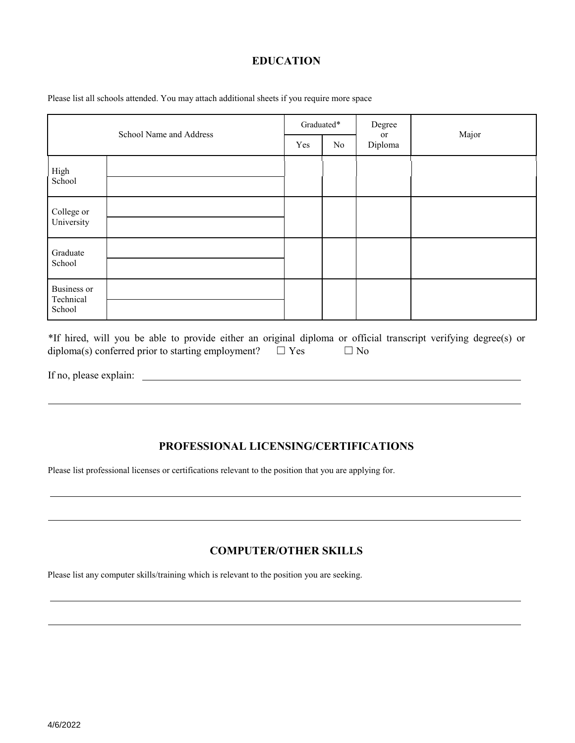### **EDUCATION**

Please list all schools attended. You may attach additional sheets if you require more space

| School Name and Address                   |  | Graduated* |    | Degree        |       |
|-------------------------------------------|--|------------|----|---------------|-------|
|                                           |  | Yes        | No | or<br>Diploma | Major |
| High<br>School                            |  |            |    |               |       |
| College or<br>University                  |  |            |    |               |       |
| Graduate<br>School                        |  |            |    |               |       |
| <b>Business or</b><br>Technical<br>School |  |            |    |               |       |

\*If hired, will you be able to provide either an original diploma or official transcript verifying degree(s) or diploma(s) conferred prior to starting employment?  $□$  Yes  $□$  No

If no, please explain:

## **PROFESSIONAL LICENSING/CERTIFICATIONS**

Please list professional licenses or certifications relevant to the position that you are applying for.

## **COMPUTER/OTHER SKILLS**

Please list any computer skills/training which is relevant to the position you are seeking.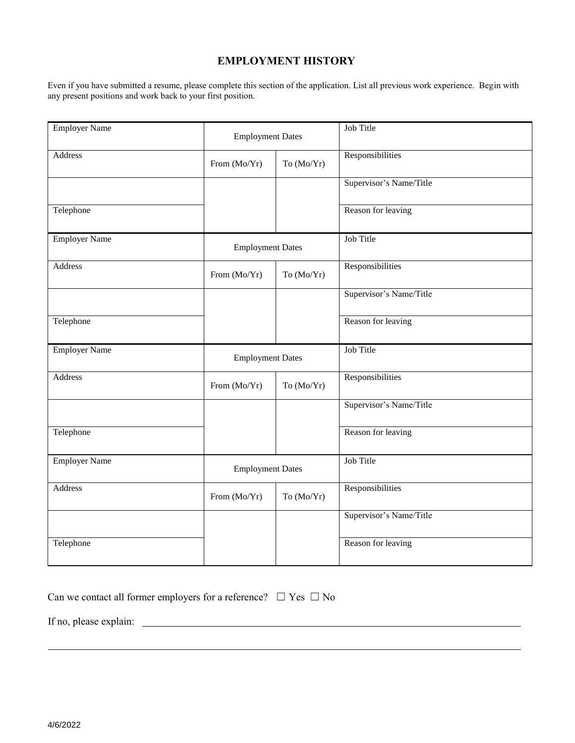#### **EMPLOYMENT HISTORY**

Even if you have submitted a resume, please complete this section of the application. List all previous work experience. Begin with any present positions and work back to your first position.

| <b>Employer Name</b> | <b>Employment Dates</b> |            | Job Title               |
|----------------------|-------------------------|------------|-------------------------|
| Address              | From (Mo/Yr)            | To (Mo/Yr) | Responsibilities        |
|                      |                         |            | Supervisor's Name/Title |
| Telephone            |                         |            | Reason for leaving      |
| <b>Employer Name</b> | <b>Employment Dates</b> |            | Job Title               |
| Address              | From (Mo/Yr)            | To (Mo/Yr) | Responsibilities        |
|                      |                         |            | Supervisor's Name/Title |
| Telephone            |                         |            | Reason for leaving      |
| <b>Employer Name</b> | <b>Employment Dates</b> |            | Job Title               |
| Address              | From (Mo/Yr)            | To (Mo/Yr) | Responsibilities        |
|                      |                         |            | Supervisor's Name/Title |
| Telephone            |                         |            | Reason for leaving      |
| <b>Employer Name</b> | <b>Employment Dates</b> |            | Job Title               |
| <b>Address</b>       | From (Mo/Yr)            | To (Mo/Yr) | Responsibilities        |
|                      |                         |            | Supervisor's Name/Title |
| Telephone            |                         |            | Reason for leaving      |

|  | Can we contact all former employers for a reference? $\Box$ Yes $\Box$ No |  |  |  |
|--|---------------------------------------------------------------------------|--|--|--|
|--|---------------------------------------------------------------------------|--|--|--|

If no, please explain: